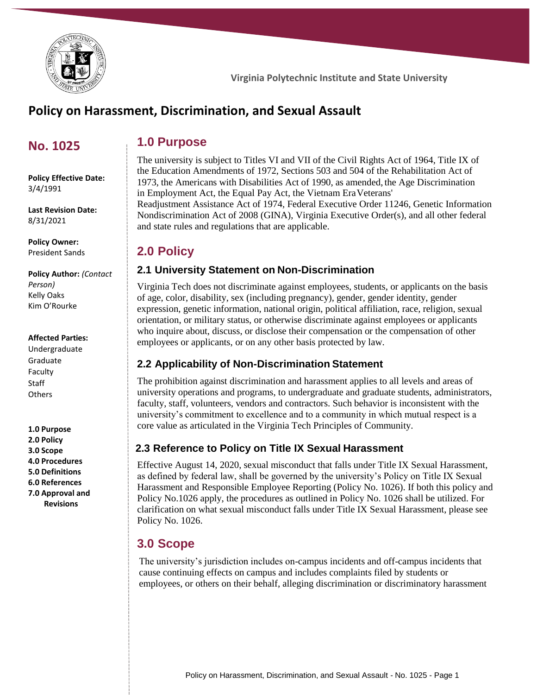

# **Policy on Harassment, Discrimination, and Sexual Assault**

## **No. 1025**

**Policy Effective Date:** 3/4/1991

**Last Revision Date:** 8/31/2021

**Policy Owner:** President Sands

**Policy Author:** *(Contact Person)* Kelly Oaks Kim O'Rourke

#### **Affected Parties:**

Undergraduate Graduate Faculty Staff **Others** 

**1.0 Purpose 2.0 Policy 3.0 Scope 4.0 Procedures 5.0 Definitions 6.0 References 7.0 Approval and Revisions**

## **1.0 Purpose**

The university is subject to Titles VI and VII of the Civil Rights Act of 1964, Title IX of the Education Amendments of 1972, Sections 503 and 504 of the Rehabilitation Act of 1973, the Americans with Disabilities Act of 1990, as amended, the Age Discrimination in Employment Act, the Equal Pay Act, the Vietnam EraVeterans' Readjustment Assistance Act of 1974, Federal Executive Order 11246, Genetic Information Nondiscrimination Act of 2008 (GINA), Virginia Executive Order(s), and all other federal and state rules and regulations that are applicable.

## **2.0 Policy**

### **2.1 University Statement on Non-Discrimination**

Virginia Tech does not discriminate against employees, students, or applicants on the basis of age, color, disability, sex (including pregnancy), gender, gender identity, gender expression, genetic information, national origin, political affiliation, race, religion, sexual orientation, or military status, or otherwise discriminate against employees or applicants who inquire about, discuss, or disclose their compensation or the compensation of other employees or applicants, or on any other basis protected by law.

### **2.2 Applicability of Non-Discrimination Statement**

The prohibition against discrimination and harassment applies to all levels and areas of university operations and programs, to undergraduate and graduate students, administrators, faculty, staff, volunteers, vendors and contractors. Such behavior is inconsistent with the university's commitment to excellence and to a community in which mutual respect is a core value as articulated in the Virginia Tech Principles of Community.

### **2.3 Reference to Policy on Title IX Sexual Harassment**

Effective August 14, 2020, sexual misconduct that falls under Title IX Sexual Harassment, as defined by federal law, shall be governed by the university's Policy on Title IX Sexual Harassment and Responsible Employee Reporting (Policy No. 1026). If both this policy and Policy No.1026 apply, the procedures as outlined in Policy No. 1026 shall be utilized. For clarification on what sexual misconduct falls under Title IX Sexual Harassment, please see Policy No. 1026.

## **3.0 Scope**

The university's jurisdiction includes on-campus incidents and off-campus incidents that cause continuing effects on campus and includes complaints filed by students or employees, or others on their behalf, alleging discrimination or discriminatory harassment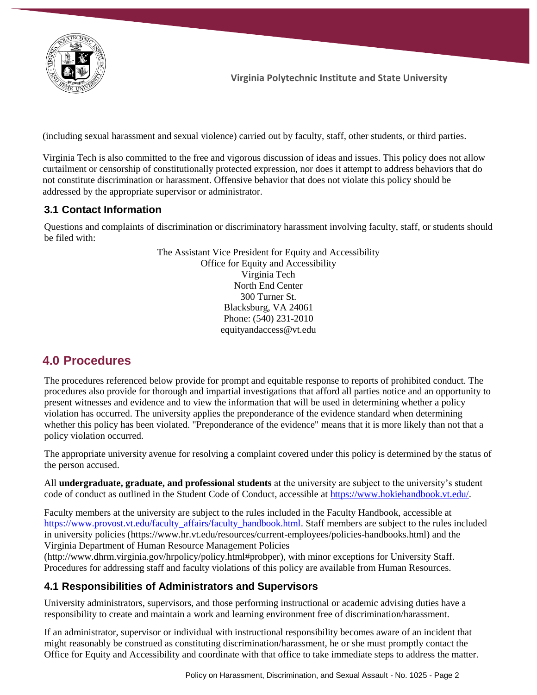

(including sexual harassment and sexual violence) carried out by faculty, staff, other students, or third parties.

Virginia Tech is also committed to the free and vigorous discussion of ideas and issues. This policy does not allow curtailment or censorship of constitutionally protected expression, nor does it attempt to address behaviors that do not constitute discrimination or harassment. Offensive behavior that does not violate this policy should be addressed by the appropriate supervisor or administrator.

### **3.1 Contact Information**

Questions and complaints of discrimination or discriminatory harassment involving faculty, staff, or students should be filed with:

> The Assistant Vice President for Equity and Accessibility Office for Equity and Accessibility Virginia Tech North End Center 300 Turner St. Blacksburg, VA 24061 Phone: (540) 231-2010 [equityandaccess@vt.edu](mailto:equityandaccess@vt.edu)

## **4.0 Procedures**

The procedures referenced below provide for prompt and equitable response to reports of prohibited conduct. The procedures also provide for thorough and impartial investigations that afford all parties notice and an opportunity to present witnesses and evidence and to view the information that will be used in determining whether a policy violation has occurred. The university applies the preponderance of the evidence standard when determining whether this policy has been violated. "Preponderance of the evidence" means that it is more likely than not that a policy violation occurred.

The appropriate university avenue for resolving a complaint covered under this policy is determined by the status of the person accused.

All **undergraduate, graduate, and professional students** at the university are subject to the university's student code of conduct as outlined in the Student Code of Conduct, accessible at [https://www.hokiehandbook.vt.edu/.](https://www.hokiehandbook.vt.edu/)

Faculty members at the university are subject to the rules included in the Faculty Handbook, accessible at [https://www.provost.vt.edu/faculty\\_affairs/faculty\\_handbook.html.](https://www.provost.vt.edu/faculty_affairs/faculty_handbook.html) Staff members are subject to the rules included in university policies [\(https://www.hr.vt.edu/resources/current-employees/policies-handbooks.html\)](https://www.hr.vt.edu/resources/current-employees/policies-handbooks.html) and the Virginia Department of Human Resource Management Policies

[\(http://www.dhrm.virginia.gov/hrpolicy/policy.html#probper\)](http://www.dhrm.virginia.gov/hrpolicy/policy.html#probper), with minor exceptions for University Staff. Procedures for addressing staff and faculty violations of this policy are available from Human Resources.

### **4.1 Responsibilities of Administrators and Supervisors**

University administrators, supervisors, and those performing instructional or academic advising duties have a responsibility to create and maintain a work and learning environment free of discrimination/harassment.

If an administrator, supervisor or individual with instructional responsibility becomes aware of an incident that might reasonably be construed as constituting discrimination/harassment, he or she must promptly contact the Office for Equity and Accessibility and coordinate with that office to take immediate steps to address the matter.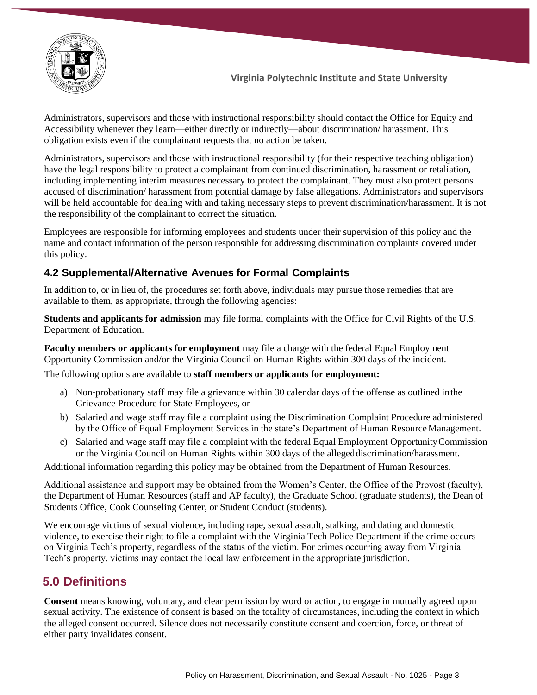

Administrators, supervisors and those with instructional responsibility should contact the Office for Equity and Accessibility whenever they learn—either directly or indirectly—about discrimination/ harassment. This obligation exists even if the complainant requests that no action be taken.

Administrators, supervisors and those with instructional responsibility (for their respective teaching obligation) have the legal responsibility to protect a complainant from continued discrimination, harassment or retaliation, including implementing interim measures necessary to protect the complainant. They must also protect persons accused of discrimination/ harassment from potential damage by false allegations. Administrators and supervisors will be held accountable for dealing with and taking necessary steps to prevent discrimination/harassment. It is not the responsibility of the complainant to correct the situation.

Employees are responsible for informing employees and students under their supervision of this policy and the name and contact information of the person responsible for addressing discrimination complaints covered under this policy.

#### **4.2 Supplemental/Alternative Avenues for Formal Complaints**

In addition to, or in lieu of, the procedures set forth above, individuals may pursue those remedies that are available to them, as appropriate, through the following agencies:

**Students and applicants for admission** may file formal complaints with the Office for Civil Rights of the U.S. Department of Education.

**Faculty members or applicants for employment** may file a charge with the federal Equal Employment Opportunity Commission and/or the Virginia Council on Human Rights within 300 days of the incident.

The following options are available to **staff members or applicants for employment:**

- a) Non-probationary staff may file a grievance within 30 calendar days of the offense as outlined inthe Grievance Procedure for State Employees, or
- b) Salaried and wage staff may file a complaint using the Discrimination Complaint Procedure administered by the Office of Equal Employment Services in the state's Department of Human ResourceManagement.
- c) Salaried and wage staff may file a complaint with the federal Equal Employment OpportunityCommission or the Virginia Council on Human Rights within 300 days of the allegeddiscrimination/harassment.

Additional information regarding this policy may be obtained from the Department of Human Resources.

Additional assistance and support may be obtained from the Women's Center, the Office of the Provost (faculty), the Department of Human Resources (staff and AP faculty), the Graduate School (graduate students), the Dean of Students Office, Cook Counseling Center, or Student Conduct (students).

We encourage victims of sexual violence, including rape, sexual assault, stalking, and dating and domestic violence, to exercise their right to file a complaint with the Virginia Tech Police Department if the crime occurs on Virginia Tech's property, regardless of the status of the victim. For crimes occurring away from Virginia Tech's property, victims may contact the local law enforcement in the appropriate jurisdiction.

## **5.0 Definitions**

**Consent** means knowing, voluntary, and clear permission by word or action, to engage in mutually agreed upon sexual activity. The existence of consent is based on the totality of circumstances, including the context in which the alleged consent occurred. Silence does not necessarily constitute consent and coercion, force, or threat of either party invalidates consent.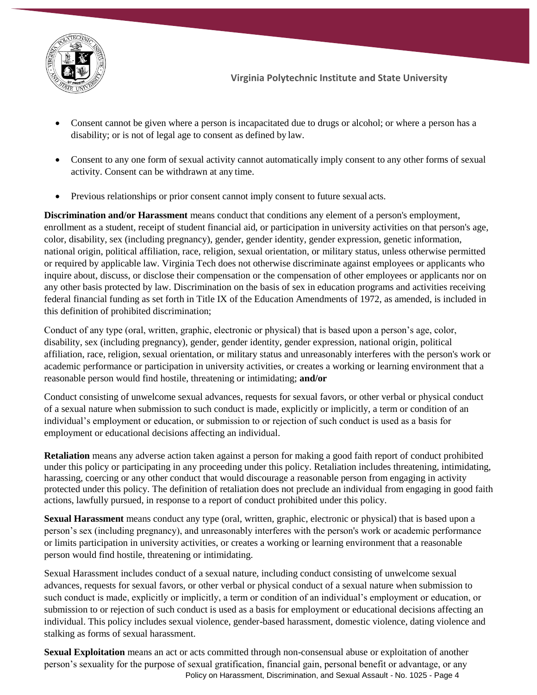

- Consent cannot be given where a person is incapacitated due to drugs or alcohol; or where a person has a disability; or is not of legal age to consent as defined by law.
- Consent to any one form of sexual activity cannot automatically imply consent to any other forms of sexual activity. Consent can be withdrawn at any time.
- Previous relationships or prior consent cannot imply consent to future sexual acts.

**Discrimination and/or Harassment** means conduct that conditions any element of a person's employment, enrollment as a student, receipt of student financial aid, or participation in university activities on that person's age, color, disability, sex (including pregnancy), gender, gender identity, gender expression, genetic information, national origin, political affiliation, race, religion, sexual orientation, or military status, unless otherwise permitted or required by applicable law. Virginia Tech does not otherwise discriminate against employees or applicants who inquire about, discuss, or disclose their compensation or the compensation of other employees or applicants nor on any other basis protected by law. Discrimination on the basis of sex in education programs and activities receiving federal financial funding as set forth in Title IX of the Education Amendments of 1972, as amended, is included in this definition of prohibited discrimination;

Conduct of any type (oral, written, graphic, electronic or physical) that is based upon a person's age, color, disability, sex (including pregnancy), gender, gender identity, gender expression, national origin, political affiliation, race, religion, sexual orientation, or military status and unreasonably interferes with the person's work or academic performance or participation in university activities, or creates a working or learning environment that a reasonable person would find hostile, threatening or intimidating; **and/or**

Conduct consisting of unwelcome sexual advances, requests for sexual favors, or other verbal or physical conduct of a sexual nature when submission to such conduct is made, explicitly or implicitly, a term or condition of an individual's employment or education, or submission to or rejection of such conduct is used as a basis for employment or educational decisions affecting an individual.

**Retaliation** means any adverse action taken against a person for making a good faith report of conduct prohibited under this policy or participating in any proceeding under this policy. Retaliation includes threatening, intimidating, harassing, coercing or any other conduct that would discourage a reasonable person from engaging in activity protected under this policy. The definition of retaliation does not preclude an individual from engaging in good faith actions, lawfully pursued, in response to a report of conduct prohibited under this policy.

**Sexual Harassment** means conduct any type (oral, written, graphic, electronic or physical) that is based upon a person's sex (including pregnancy), and unreasonably interferes with the person's work or academic performance or limits participation in university activities, or creates a working or learning environment that a reasonable person would find hostile, threatening or intimidating.

Sexual Harassment includes conduct of a sexual nature, including conduct consisting of unwelcome sexual advances, requests for sexual favors, or other verbal or physical conduct of a sexual nature when submission to such conduct is made, explicitly or implicitly, a term or condition of an individual's employment or education, or submission to or rejection of such conduct is used as a basis for employment or educational decisions affecting an individual. This policy includes sexual violence, gender-based harassment, domestic violence, dating violence and stalking as forms of sexual harassment.

Policy on Harassment, Discrimination, and Sexual Assault - No. 1025 - Page 4 **Sexual Exploitation** means an act or acts committed through non-consensual abuse or exploitation of another person's sexuality for the purpose of sexual gratification, financial gain, personal benefit or advantage, or any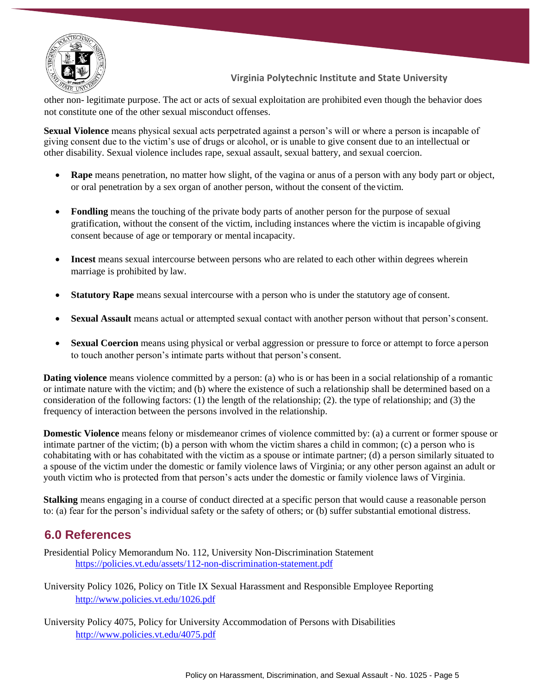

other non- legitimate purpose. The act or acts of sexual exploitation are prohibited even though the behavior does not constitute one of the other sexual misconduct offenses.

**Sexual Violence** means physical sexual acts perpetrated against a person's will or where a person is incapable of giving consent due to the victim's use of drugs or alcohol, or is unable to give consent due to an intellectual or other disability. Sexual violence includes rape, sexual assault, sexual battery, and sexual coercion.

- **Rape** means penetration, no matter how slight, of the vagina or anus of a person with any body part or object, or oral penetration by a sex organ of another person, without the consent of the victim.
- **Fondling** means the touching of the private body parts of another person for the purpose of sexual gratification, without the consent of the victim, including instances where the victim is incapable ofgiving consent because of age or temporary or mental incapacity.
- **Incest** means sexual intercourse between persons who are related to each other within degrees wherein marriage is prohibited by law.
- **Statutory Rape** means sexual intercourse with a person who is under the statutory age of consent.
- **Sexual Assault** means actual or attempted sexual contact with another person without that person's consent.
- **Sexual Coercion** means using physical or verbal aggression or pressure to force or attempt to force a person to touch another person's intimate parts without that person's consent.

**Dating violence** means violence committed by a person: (a) who is or has been in a social relationship of a romantic or intimate nature with the victim; and (b) where the existence of such a relationship shall be determined based on a consideration of the following factors: (1) the length of the relationship; (2). the type of relationship; and (3) the frequency of interaction between the persons involved in the relationship.

**Domestic Violence** means felony or misdemeanor crimes of violence committed by: (a) a current or former spouse or intimate partner of the victim; (b) a person with whom the victim shares a child in common; (c) a person who is cohabitating with or has cohabitated with the victim as a spouse or intimate partner; (d) a person similarly situated to a spouse of the victim under the domestic or family violence laws of Virginia; or any other person against an adult or youth victim who is protected from that person's acts under the domestic or family violence laws of Virginia.

**Stalking** means engaging in a course of conduct directed at a specific person that would cause a reasonable person to: (a) fear for the person's individual safety or the safety of others; or (b) suffer substantial emotional distress.

## **6.0 References**

Presidential Policy Memorandum No. 112, University Non-Discrimination Statement <https://policies.vt.edu/assets/112-non-discrimination-statement.pdf>

University Policy 1026, Policy on Title IX Sexual Harassment and Responsible Employee Reporting <http://www.policies.vt.edu/1026.pdf>

University Policy 4075, Policy for University Accommodation of Persons with Disabilities <http://www.policies.vt.edu/4075.pdf>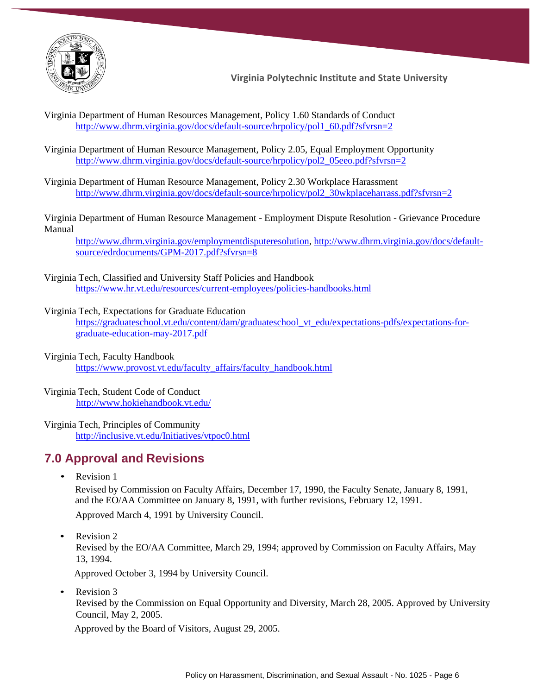

Virginia Department of Human Resources Management, Policy 1.60 Standards of Conduct [http://www.dhrm.virginia.gov/docs/default-source/hrpolicy/pol1\\_60.pdf?sfvrsn=2](http://www.dhrm.virginia.gov/docs/default-source/hrpolicy/pol1_60.pdf?sfvrsn=2)

Virginia Department of Human Resource Management, Policy 2.05, Equal Employment Opportunity [http://www.dhrm.virginia.gov/docs/default-source/hrpolicy/pol2\\_05eeo.pdf?sfvrsn=2](http://www.dhrm.virginia.gov/docs/default-source/hrpolicy/pol2_05eeo.pdf?sfvrsn=2)

Virginia Department of Human Resource Management, Policy 2.30 Workplace Harassment [http://www.dhrm.virginia.gov/docs/default-source/hrpolicy/pol2\\_30wkplaceharrass.pdf?sfvrsn=2](http://www.dhrm.virginia.gov/docs/default-source/hrpolicy/pol2_30wkplaceharrass.pdf?sfvrsn=2)

[Virginia Department of Human Resource Management -](http://www.dhrm.virginia.gov/EDR/grievance/GPMJuly2012.pdf) Employment Dispute Resolution - Grievance Procedure [Manual](http://www.dhrm.virginia.gov/EDR/grievance/GPMJuly2012.pdf)

[http://www.dhrm.virginia.gov/employmentdisputeresolution,](http://www.dhrm.virginia.gov/employmentdisputeresolution) [http://www.dhrm.virginia.gov/docs/default](http://www.dhrm.virginia.gov/docs/default-source/edrdocuments/GPM-2017.pdf?sfvrsn=8)[source/edrdocuments/GPM-2017.pdf?sfvrsn=8](http://www.dhrm.virginia.gov/docs/default-source/edrdocuments/GPM-2017.pdf?sfvrsn=8)

Virginia Tech, Classified and University Staff Policies and Handbook <https://www.hr.vt.edu/resources/current-employees/policies-handbooks.html>

#### Virginia Tech, [Expectations for Graduate Education](http://www.expectations.graduateschool.vt.edu/wp-content/uploads/2011/08/Expectations_Print.pdf)

[https://graduateschool.vt.edu/content/dam/graduateschool\\_vt\\_edu/expectations-pdfs/expectations-for](https://graduateschool.vt.edu/content/dam/graduateschool_vt_edu/expectations-pdfs/expectations-for-graduate-education-may-2017.pdf)[graduate-education-may-2017.pdf](https://graduateschool.vt.edu/content/dam/graduateschool_vt_edu/expectations-pdfs/expectations-for-graduate-education-may-2017.pdf)

Virginia Tech, Faculty Handbook

[https://www.provost.vt.edu/faculty\\_affairs/faculty\\_handbook.html](https://www.provost.vt.edu/faculty_affairs/faculty_handbook.html)

Virginia Tech, Student Code of Conduct <http://www.hokiehandbook.vt.edu/>

Virginia Tech, Principles of Community <http://inclusive.vt.edu/Initiatives/vtpoc0.html>

## **7.0 Approval and Revisions**

• Revision 1

Revised by Commission on Faculty Affairs, December 17, 1990, the Faculty Senate, January 8, 1991, and the EO/AA Committee on January 8, 1991, with further revisions, February 12, 1991. Approved March 4, 1991 by University Council.

• Revision 2

Revised by the EO/AA Committee, March 29, 1994; approved by Commission on Faculty Affairs, May 13, 1994.

Approved October 3, 1994 by University Council.

• Revision 3

Revised by the Commission on Equal Opportunity and Diversity, March 28, 2005. Approved by University Council, May 2, 2005.

Approved by the Board of Visitors, August 29, 2005.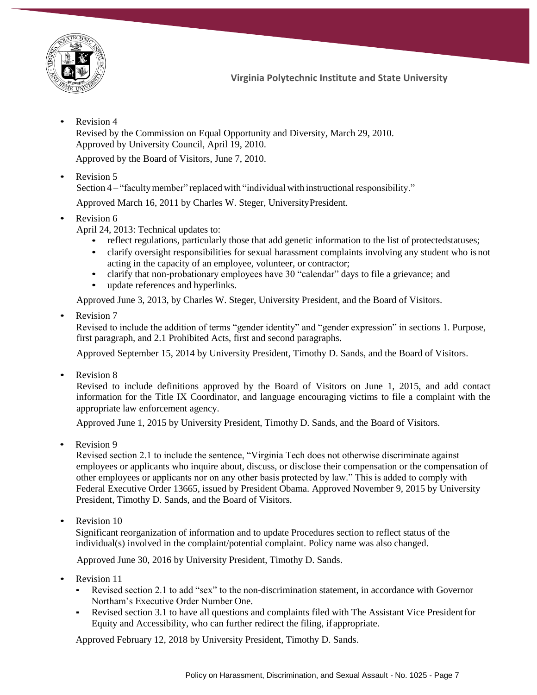

Revision 4

Revised by the Commission on Equal Opportunity and Diversity, March 29, 2010. Approved by University Council, April 19, 2010.

Approved by the Board of Visitors, June 7, 2010.

• Revision 5

Section 4 – "faculty member" replaced with "individual with instructional responsibility."

Approved March 16, 2011 by Charles W. Steger, UniversityPresident.

- Revision 6
	- April 24, 2013: Technical updates to:
		- reflect regulations, particularly those that add genetic information to the list of protected statuses;
		- clarify oversight responsibilities for sexual harassment complaints involving any student who is not acting in the capacity of an employee, volunteer, or contractor;
		- clarify that non-probationary employees have 30 "calendar" days to file a grievance; and
		- update references and hyperlinks.

Approved June 3, 2013, by Charles W. Steger, University President, and the Board of Visitors.

Revision 7

Revised to include the addition of terms "gender identity" and "gender expression" in sections 1. Purpose, first paragraph, and 2.1 Prohibited Acts, first and second paragraphs.

Approved September 15, 2014 by University President, Timothy D. Sands, and the Board of Visitors.

• Revision 8

Revised to include definitions approved by the Board of Visitors on June 1, 2015, and add contact information for the Title IX Coordinator, and language encouraging victims to file a complaint with the appropriate law enforcement agency.

Approved June 1, 2015 by University President, Timothy D. Sands, and the Board of Visitors.

• Revision 9

Revised section 2.1 to include the sentence, "Virginia Tech does not otherwise discriminate against employees or applicants who inquire about, discuss, or disclose their compensation or the compensation of other employees or applicants nor on any other basis protected by law." This is added to comply with Federal Executive Order 13665, issued by President Obama. Approved November 9, 2015 by University President, Timothy D. Sands, and the Board of Visitors.

Revision 10

Significant reorganization of information and to update Procedures section to reflect status of the individual(s) involved in the complaint/potential complaint. Policy name was also changed.

Approved June 30, 2016 by University President, Timothy D. Sands.

- Revision 11
	- Revised section 2.1 to add "sex" to the non-discrimination statement, in accordance with Governor Northam's Executive Order Number One.
	- Revised section 3.1 to have all questions and complaints filed with The Assistant Vice President for Equity and Accessibility, who can further redirect the filing, ifappropriate.

Approved February 12, 2018 by University President, Timothy D. Sands.